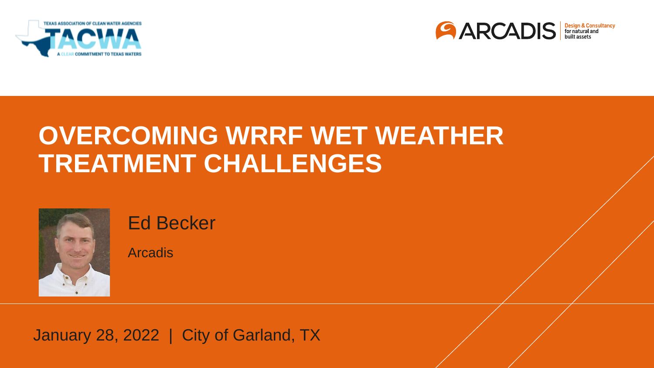



## **OVERCOMING WRRF WET WEATHER TREATMENT CHALLENGES**



Ed Becker

**Arcadis** 

January 28, 2022 | City of Garland, TX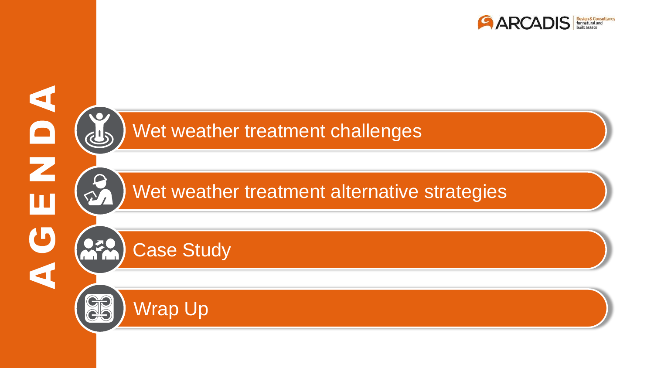



Wet weather treatment challenges

Wet weather treatment alternative strategies

Case Study

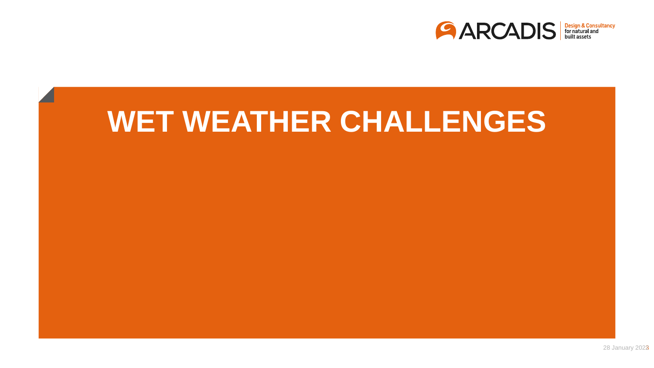

# **WET WEATHER CHALLENGES**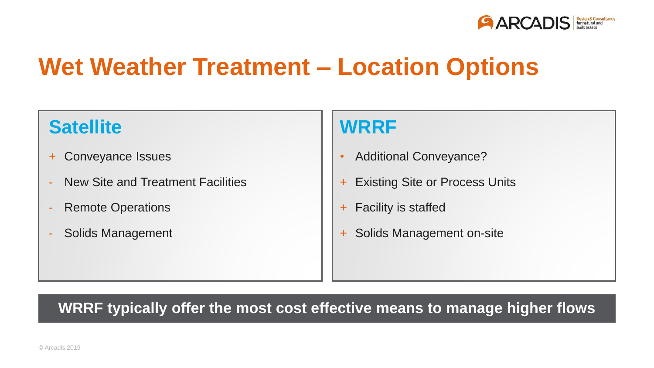

## **Wet Weather Treatment – Location Options**

#### **Satellite**

- + Conveyance Issues
- New Site and Treatment Facilities
- Remote Operations
- Solids Management

#### **WRRF**

- Additional Conveyance?
- **Existing Site or Process Units**
- + Facility is staffed
- + Solids Management on-site

#### **WRRF typically offer the most cost effective means to manage higher flows**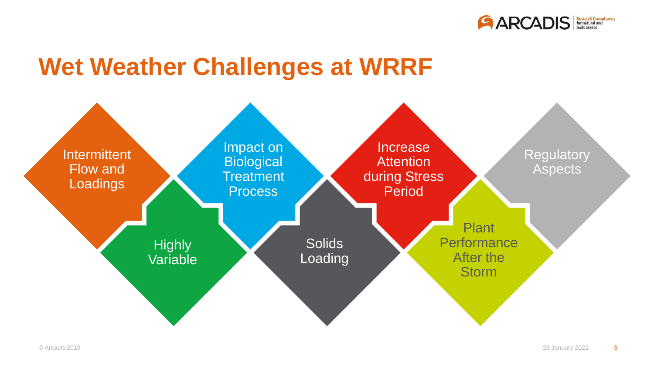

#### **Wet Weather Challenges at WRRF**

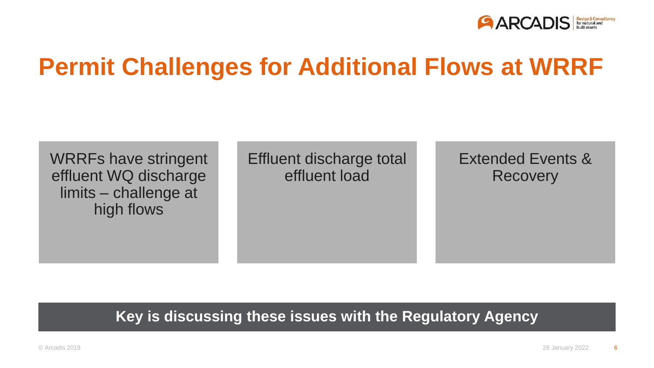

## **Permit Challenges for Additional Flows at WRRF**

WRRFs have stringent effluent WQ discharge limits – challenge at high flows

Effluent discharge total effluent load

Extended Events & **Recovery** 

**Key is discussing these issues with the Regulatory Agency**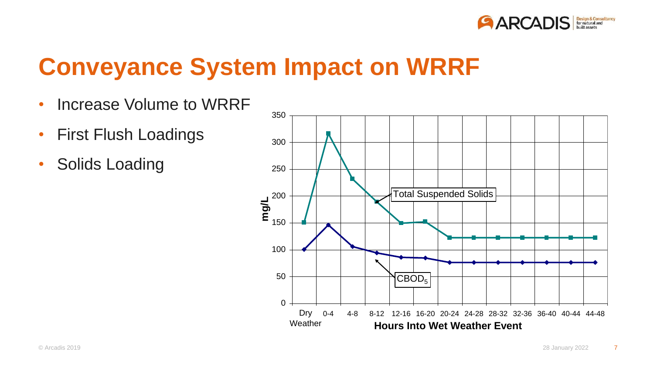

## **Conveyance System Impact on WRRF**

- Increase Volume to WRRF
- First Flush Loadings
- Solids Loading

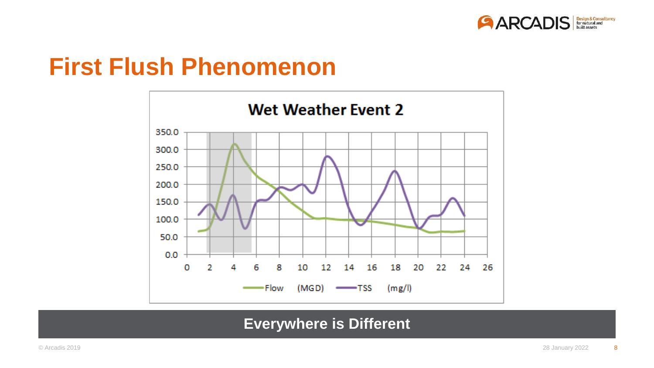

#### **First Flush Phenomenon**



#### **Everywhere is Different**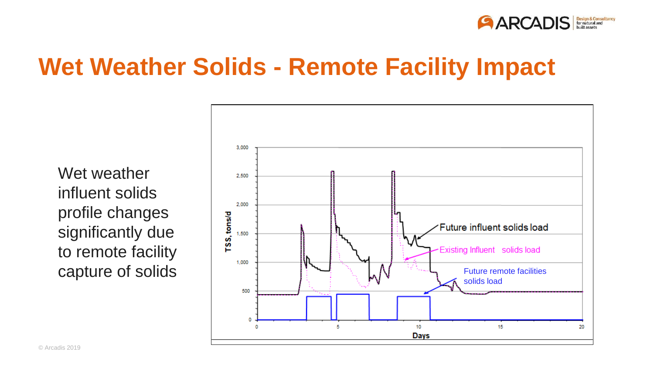

#### **Wet Weather Solids - Remote Facility Impact**

Wet weather influent solids profile changes significantly due to remote facility

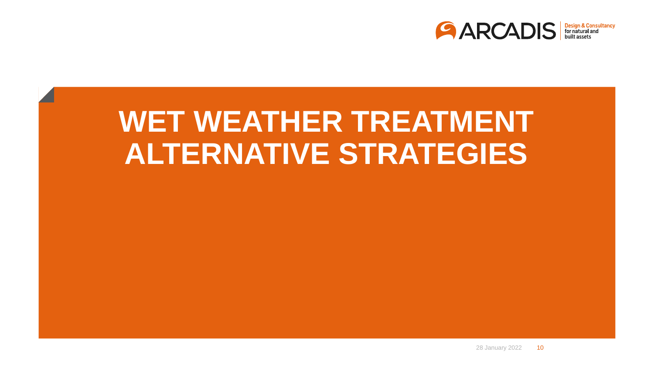

# **WET WEATHER TREATMENT ALTERNATIVE STRATEGIES**

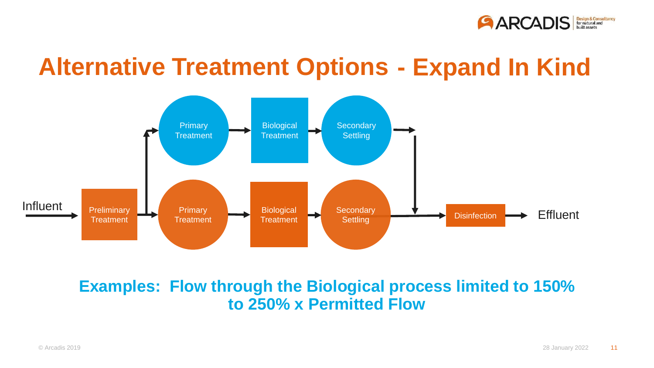

#### **Alternative Treatment Options - Expand In Kind**



#### **Examples: Flow through the Biological process limited to 150% to 250% x Permitted Flow**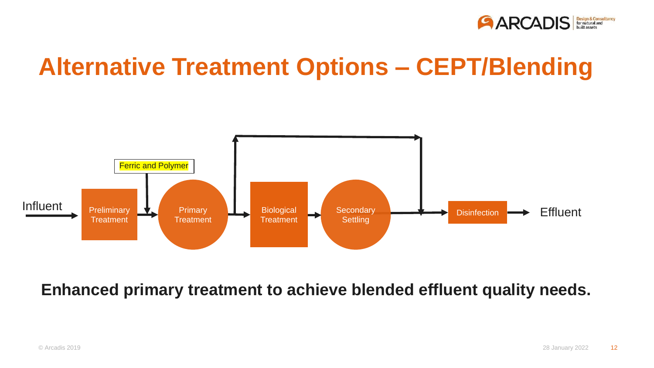

## **Alternative Treatment Options – CEPT/Blending**



#### **Enhanced primary treatment to achieve blended effluent quality needs.**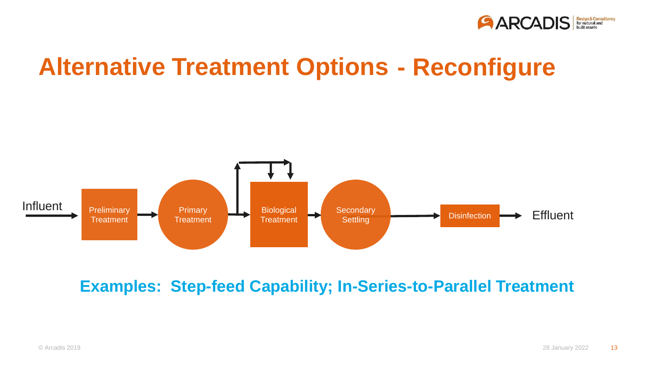

## **Alternative Treatment Options - Reconfigure**



**Examples: Step-feed Capability; In-Series-to-Parallel Treatment**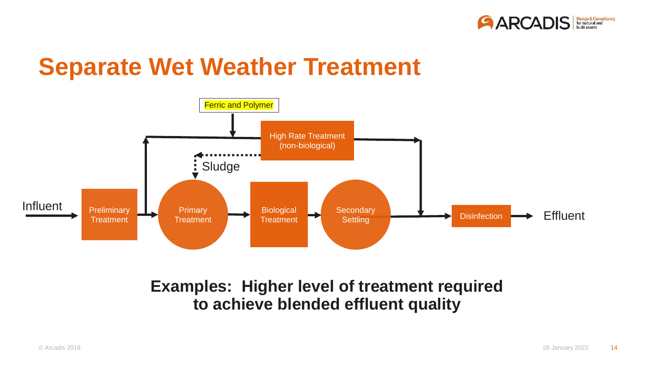

#### **Separate Wet Weather Treatment**



#### **Examples: Higher level of treatment required to achieve blended effluent quality**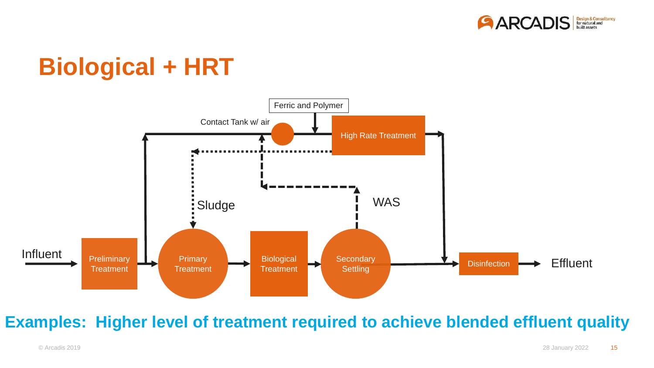

## **Biological + HRT**



#### **Examples: Higher level of treatment required to achieve blended effluent quality**

© Arcadis 2019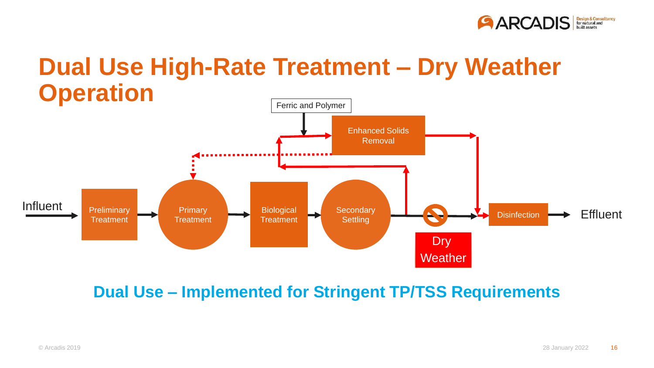

#### **Dual Use High-Rate Treatment – Dry Weather Operation**



**Dual Use – Implemented for Stringent TP/TSS Requirements**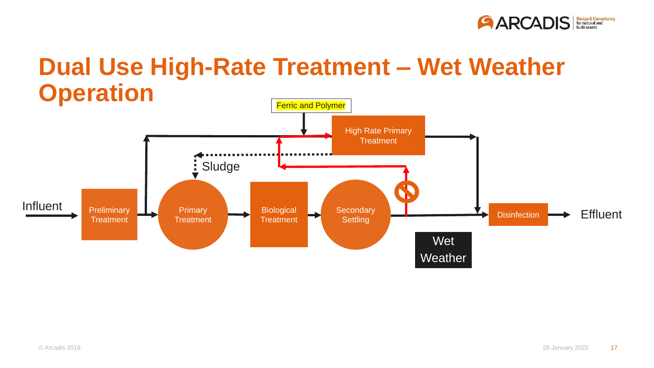

## **Dual Use High-Rate Treatment – Wet Weather Operation**

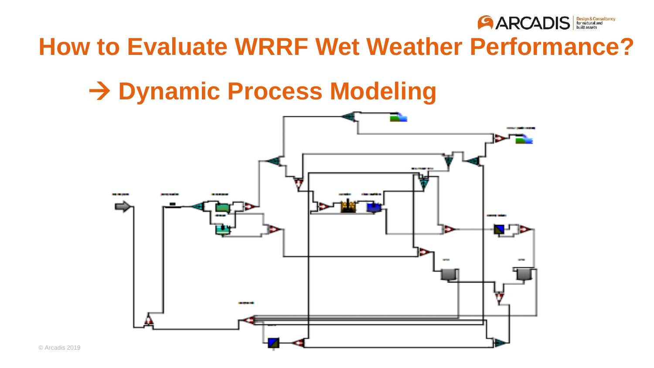

## **How to Evaluate WRRF Wet Weather Performance?**

## **Dynamic Process Modeling**

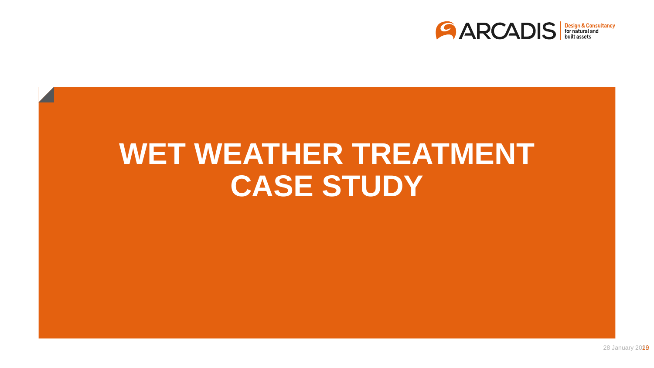

# **WET WEATHER TREATMENT CASE STUDY**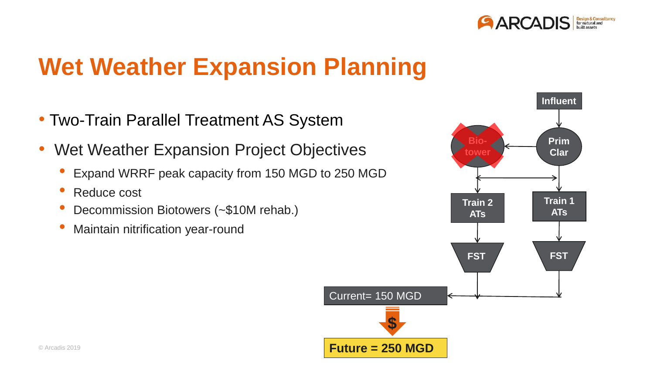

## **Wet Weather Expansion Planning**

- Two-Train Parallel Treatment AS System
- Wet Weather Expansion Project Objectives **Provert Access 1986** Frim
	- Expand WRRF peak capacity from 150 MGD to 250 MGD
	- Reduce cost
	- Decommission Biotowers (~\$10M rehab.)
	- Maintain nitrification year-round

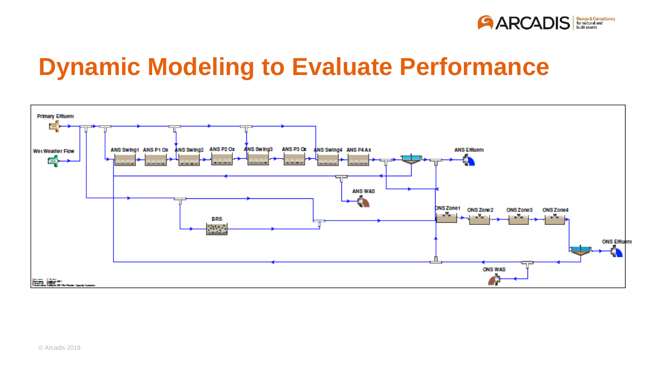

## **Dynamic Modeling to Evaluate Performance**

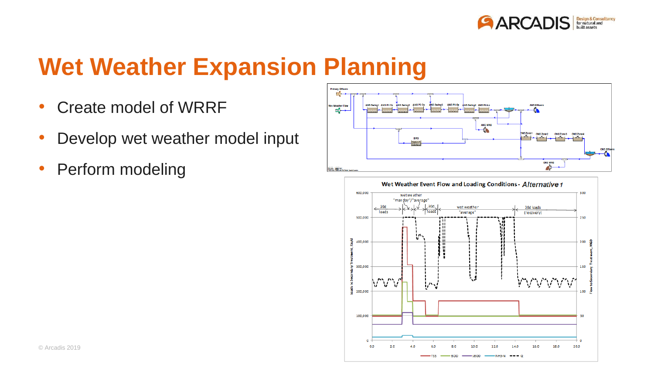

## **Wet Weather Expansion Planning**

- Create model of WRRF
- Develop wet weather model input
- Perform modeling



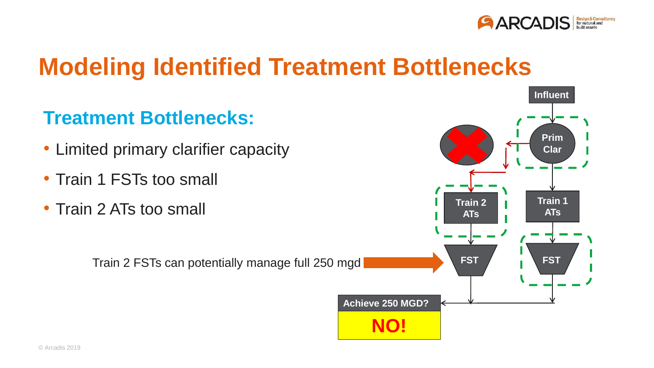

#### **Modeling Identified Treatment Bottlenecks**

#### **Treatment Bottlenecks:**

- Limited primary clarifier capacity
- Train 1 FSTs too small
- Train 2 ATs too small

Train 2 FSTs can potentially manage full 250 mgd **FICH ASSESS FST** 

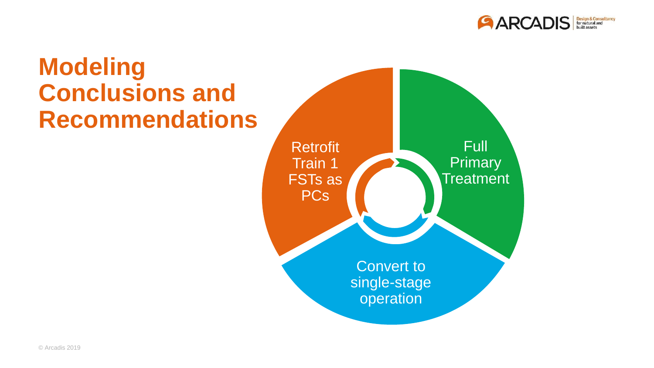

## **Modeling Conclusions and Recommendations**

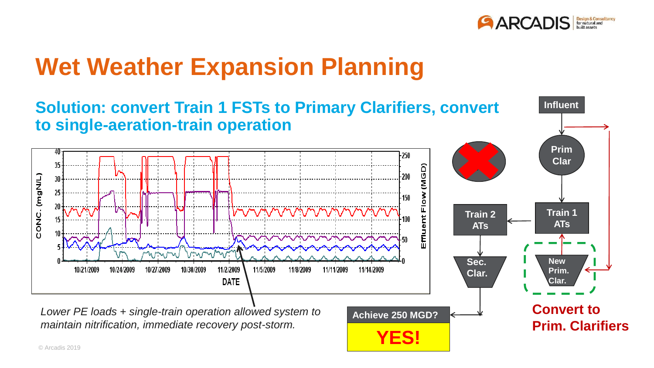

## **Wet Weather Expansion Planning**

#### **Solution: convert Train 1 FSTs to Primary Clarifiers, convert Influent to single-aeration-train operation Prim**  $-250$ **Clar** 35 (MGD) **tower** CONC. (mgN/L) 200 25 Effluent Flow 150 20 **Train 1 Train 2 ATs ATs** VOUWW nowa **Sec. New**  11/2/2009 10/21/2009 10/24/2009 10/27/2009 10/30/2009 11/5/2009 11/8/2009 11/11/2009 11/14/2009 **Prim. Clar. DATE Clar. Convert to** *Lower PE loads + single-train operation allowed system to*

*maintain nitrification, immediate recovery post-storm.*



**Prim. Clarifiers**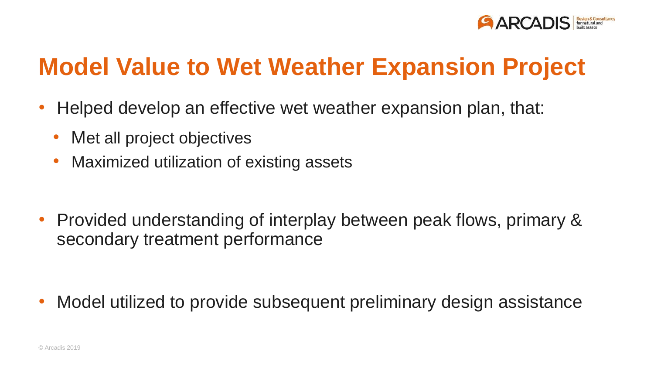

## **Model Value to Wet Weather Expansion Project**

- Helped develop an effective wet weather expansion plan, that:
	- Met all project objectives
	- Maximized utilization of existing assets

• Provided understanding of interplay between peak flows, primary & secondary treatment performance

• Model utilized to provide subsequent preliminary design assistance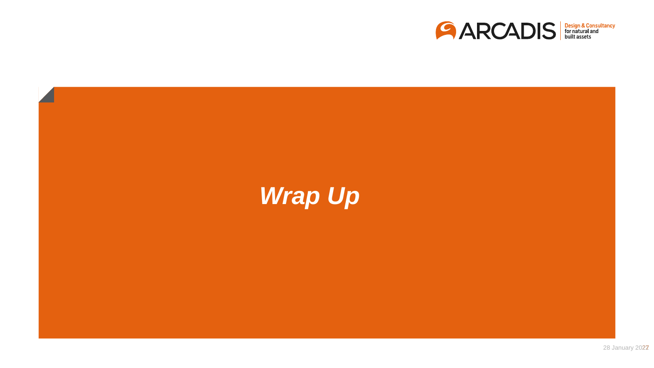

# *Wrap Up*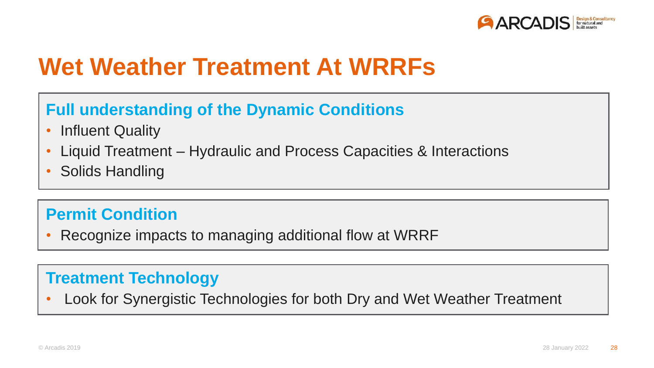

#### **Wet Weather Treatment At WRRFs**

#### **Full understanding of the Dynamic Conditions**

- Influent Quality
- Liquid Treatment Hydraulic and Process Capacities & Interactions
- Solids Handling

#### **Permit Condition**

• Recognize impacts to managing additional flow at WRRF

#### **Treatment Technology**

• Look for Synergistic Technologies for both Dry and Wet Weather Treatment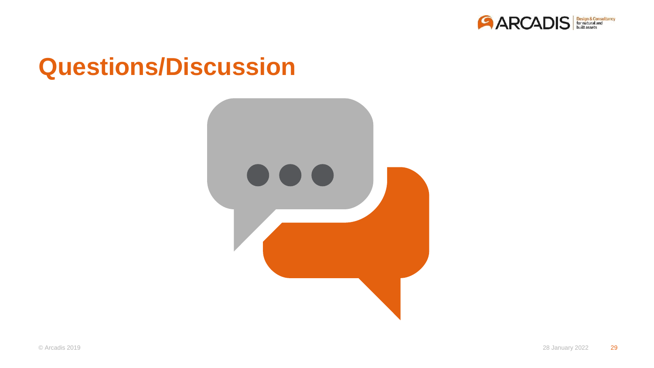

#### **Questions/Discussion**

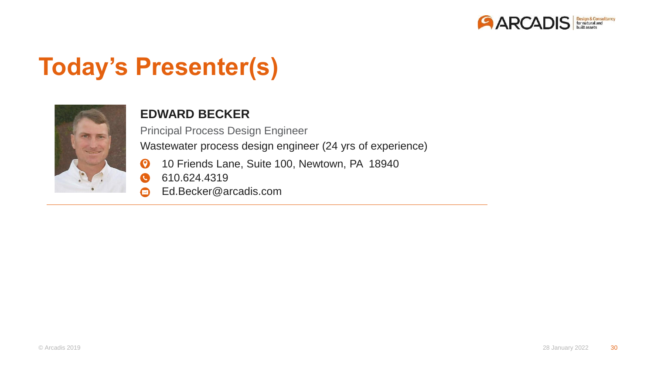

## **Today's Presenter(s)**



#### **EDWARD BECKER**

Wastewater process design engineer (24 yrs of experience) Principal Process Design Engineer

- 10 Friends Lane, Suite 100, Newtown, PA 18940  $\boldsymbol{\Omega}$
- 610.624.4319 Q
- Ed.Becker@arcadis.com  $\color{red} \blacksquare$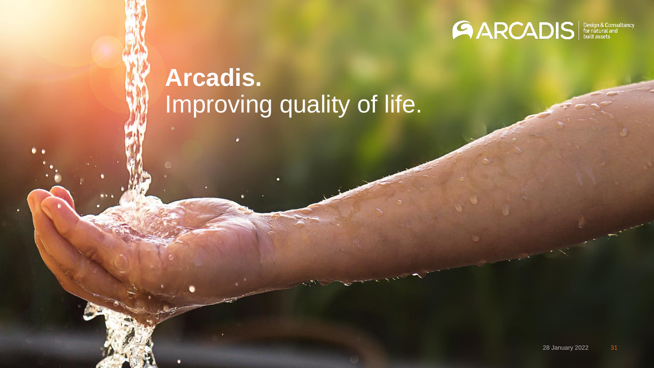

## **Arcadis.** Improving quality of life.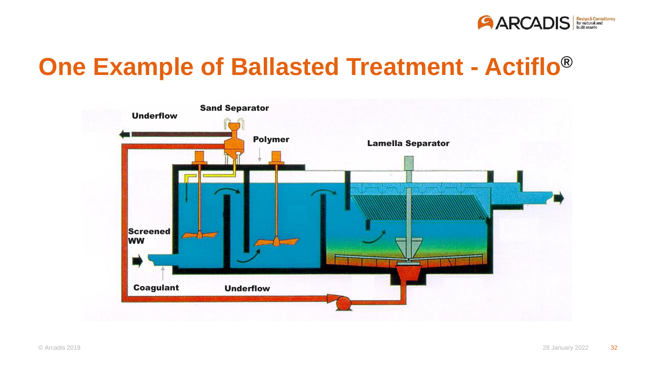

## **One Example of Ballasted Treatment - Actiflo® ®**